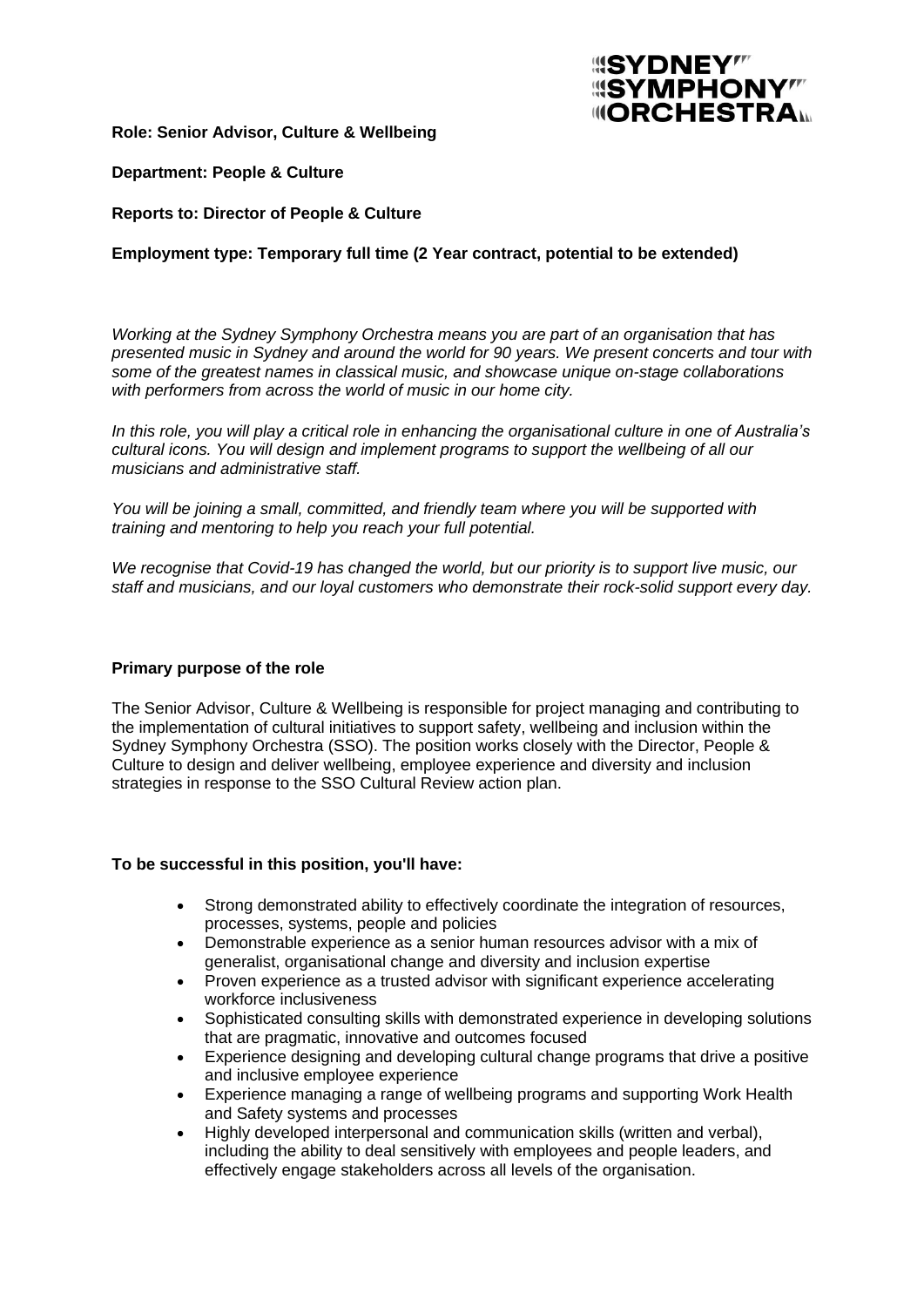

**Role: Senior Advisor, Culture & Wellbeing**

# **Department: People & Culture**

### **Reports to: Director of People & Culture**

# **Employment type: Temporary full time (2 Year contract, potential to be extended)**

*Working at the Sydney Symphony Orchestra means you are part of an organisation that has presented music in Sydney and around the world for 90 years. We present concerts and tour with some of the greatest names in classical music, and showcase unique on-stage collaborations with performers from across the world of music in our home city.*

In this role, you will play a critical role in enhancing the organisational culture in one of Australia's *cultural icons. You will design and implement programs to support the wellbeing of all our musicians and administrative staff.*

*You will be joining a small, committed, and friendly team where you will be supported with training and mentoring to help you reach your full potential.*

*We recognise that Covid-19 has changed the world, but our priority is to support live music, our staff and musicians, and our loyal customers who demonstrate their rock-solid support every day.*

#### **Primary purpose of the role**

The Senior Advisor, Culture & Wellbeing is responsible for project managing and contributing to the implementation of cultural initiatives to support safety, wellbeing and inclusion within the Sydney Symphony Orchestra (SSO). The position works closely with the Director, People & Culture to design and deliver wellbeing, employee experience and diversity and inclusion strategies in response to the SSO Cultural Review action plan.

#### **To be successful in this position, you'll have:**

- Strong demonstrated ability to effectively coordinate the integration of resources, processes, systems, people and policies
- Demonstrable experience as a senior human resources advisor with a mix of generalist, organisational change and diversity and inclusion expertise
- Proven experience as a trusted advisor with significant experience accelerating workforce inclusiveness
- Sophisticated consulting skills with demonstrated experience in developing solutions that are pragmatic, innovative and outcomes focused
- Experience designing and developing cultural change programs that drive a positive and inclusive employee experience
- Experience managing a range of wellbeing programs and supporting Work Health and Safety systems and processes
- Highly developed interpersonal and communication skills (written and verbal), including the ability to deal sensitively with employees and people leaders, and effectively engage stakeholders across all levels of the organisation.